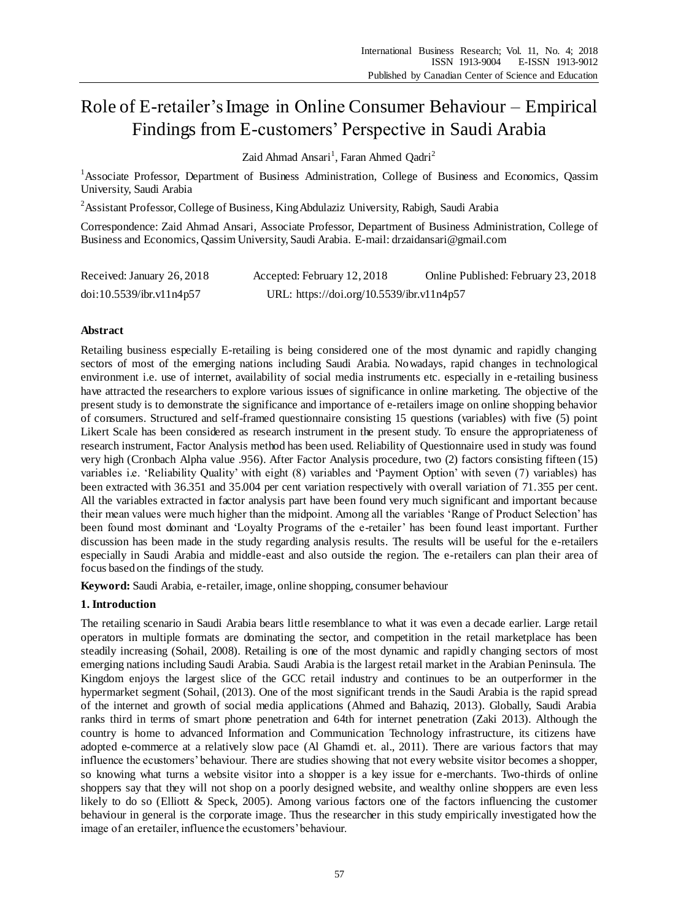# Role of E-retailer's Image in Online Consumer Behaviour – Empirical Findings from E-customers' Perspective in Saudi Arabia

Zaid Ahmad Ansari<sup>1</sup>, Faran Ahmed Qadri<sup>2</sup>

<sup>1</sup>Associate Professor, Department of Business Administration, College of Business and Economics, Qassim University, Saudi Arabia

<sup>2</sup> Assistant Professor, College of Business, King Abdulaziz University, Rabigh, Saudi Arabia

Correspondence: Zaid Ahmad Ansari, Associate Professor, Department of Business Administration, College of Business and Economics, Qassim University, Saudi Arabia. E-mail: drzaidansari@gmail.com

| Received: January 26, 2018 | Accepted: February 12, 2018               | Online Published: February 23, 2018 |
|----------------------------|-------------------------------------------|-------------------------------------|
| doi:10.5539/ibr.v11n4p57   | URL: https://doi.org/10.5539/ibr.v11n4p57 |                                     |

## **Abstract**

Retailing business especially E-retailing is being considered one of the most dynamic and rapidly changing sectors of most of the emerging nations including Saudi Arabia. Nowadays, rapid changes in technological environment i.e. use of internet, availability of social media instruments etc. especially in e -retailing business have attracted the researchers to explore various issues of significance in online marketing. The objective of the present study is to demonstrate the significance and importance of e-retailers image on online shopping behavior of consumers. Structured and self-framed questionnaire consisting 15 questions (variables) with five (5) point Likert Scale has been considered as research instrument in the present study. To ensure the appropriateness of research instrument, Factor Analysis method has been used. Reliability of Questionnaire used in study was found very high (Cronbach Alpha value .956). After Factor Analysis procedure, two (2) factors consisting fifteen (15) variables i.e. 'Reliability Quality' with eight (8) variables and 'Payment Option' with seven (7) variables) has been extracted with 36.351 and 35.004 per cent variation respectively with overall variation of 71.355 per cent. All the variables extracted in factor analysis part have been found very much significant and important because their mean values were much higher than the midpoint. Among all the variables 'Range of Product Selection' has been found most dominant and 'Loyalty Programs of the e-retailer' has been found least important. Further discussion has been made in the study regarding analysis results. The results will be useful for the e-retailers especially in Saudi Arabia and middle-east and also outside the region. The e-retailers can plan their area of focus based on the findings of the study.

**Keyword:** Saudi Arabia, e-retailer, image, online shopping, consumer behaviour

## **1. Introduction**

The retailing scenario in Saudi Arabia bears little resemblance to what it was even a decade earlier. Large retail operators in multiple formats are dominating the sector, and competition in the retail marketplace has been steadily increasing (Sohail, 2008). Retailing is one of the most dynamic and rapidly changing sectors of most emerging nations including Saudi Arabia. Saudi Arabia is the largest retail market in the Arabian Peninsula. The Kingdom enjoys the largest slice of the GCC retail industry and continues to be an outperformer in the hypermarket segment (Sohail, (2013). One of the most significant trends in the Saudi Arabia is the rapid spread of the internet and growth of social media applications (Ahmed and Bahaziq, 2013). Globally, Saudi Arabia ranks third in terms of smart phone penetration and 64th for internet penetration (Zaki 2013). Although the country is home to advanced Information and Communication Technology infrastructure, its citizens have adopted e-commerce at a relatively slow pace (Al Ghamdi et. al., 2011). There are various factors that may influence the ecustomers' behaviour. There are studies showing that not every website visitor becomes a shopper, so knowing what turns a website visitor into a shopper is a key issue for e-merchants. Two-thirds of online shoppers say that they will not shop on a poorly designed website, and wealthy online shoppers are even less likely to do so (Elliott & Speck, 2005). Among various factors one of the factors influencing the customer behaviour in general is the corporate image. Thus the researcher in this study empirically investigated how the image of an eretailer, influence the ecustomers' behaviour.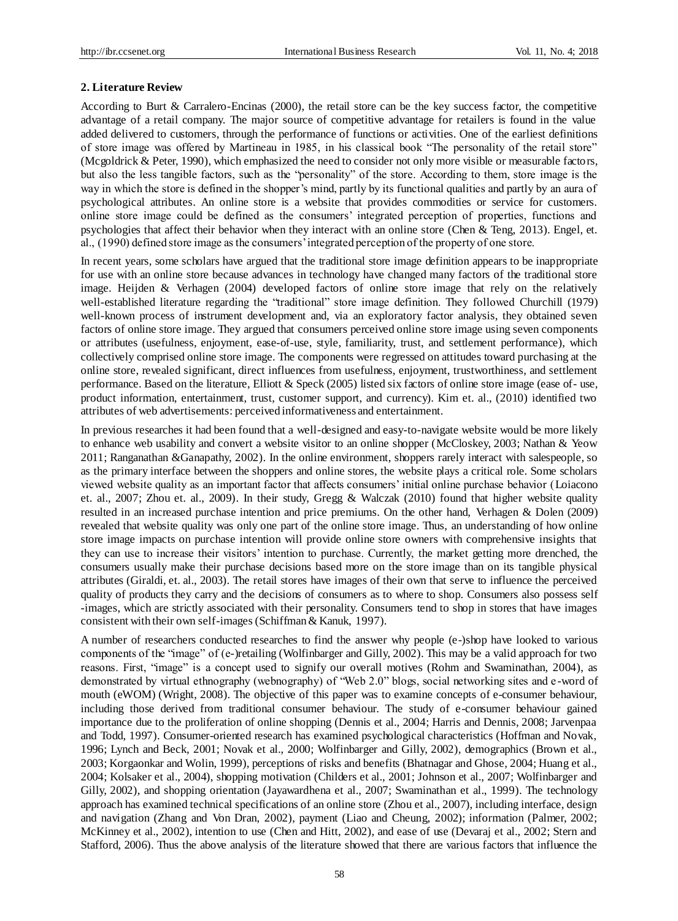## **2. Literature Review**

According to Burt & Carralero-Encinas (2000), the retail store can be the key success factor, the competitive advantage of a retail company. The major source of competitive advantage for retailers is found in the value added delivered to customers, through the performance of functions or activities. One of the earliest definitions of store image was offered by Martineau in 1985, in his classical book "The personality of the retail store" (Mcgoldrick & Peter, 1990), which emphasized the need to consider not only more visible or measurable factors, but also the less tangible factors, such as the "personality" of the store. According to them, store image is the way in which the store is defined in the shopper's mind, partly by its functional qualities and partly by an aura of psychological attributes. An online store is a website that provides commodities or service for customers. online store image could be defined as the consumers' integrated perception of properties, functions and psychologies that affect their behavior when they interact with an online store (Chen & Teng, 2013). Engel, et. al., (1990) defined store image as the consumers' integrated perception of the property of one store.

In recent years, some scholars have argued that the traditional store image definition appears to be inappropriate for use with an online store because advances in technology have changed many factors of the traditional store image. Heijden & Verhagen (2004) developed factors of online store image that rely on the relatively well-established literature regarding the "traditional" store image definition. They followed Churchill (1979) well-known process of instrument development and, via an exploratory factor analysis, they obtained seven factors of online store image. They argued that consumers perceived online store image using seven components or attributes (usefulness, enjoyment, ease-of-use, style, familiarity, trust, and settlement performance), which collectively comprised online store image. The components were regressed on attitudes toward purchasing at the online store, revealed significant, direct influences from usefulness, enjoyment, trustworthiness, and settlement performance. Based on the literature, Elliott & Speck (2005) listed six factors of online store image (ease of- use, product information, entertainment, trust, customer support, and currency). Kim et. al., (2010) identified two attributes of web advertisements: perceived informativeness and entertainment.

In previous researches it had been found that a well-designed and easy-to-navigate website would be more likely to enhance web usability and convert a website visitor to an online shopper (McCloskey, 2003; Nathan & Yeow 2011; Ranganathan &Ganapathy, 2002). In the online environment, shoppers rarely interact with salespeople, so as the primary interface between the shoppers and online stores, the website plays a critical role. Some scholars viewed website quality as an important factor that affects consumers' initial online purchase behavior (Loiacono et. al., 2007; Zhou et. al., 2009). In their study, Gregg & Walczak (2010) found that higher website quality resulted in an increased purchase intention and price premiums. On the other hand, Verhagen & Dolen (2009) revealed that website quality was only one part of the online store image. Thus, an understanding of how online store image impacts on purchase intention will provide online store owners with comprehensive insights that they can use to increase their visitors' intention to purchase. Currently, the market getting more drenched, the consumers usually make their purchase decisions based more on the store image than on its tangible physical attributes (Giraldi, et. al., 2003). The retail stores have images of their own that serve to influence the perceived quality of products they carry and the decisions of consumers as to where to shop. Consumers also possess self -images, which are strictly associated with their personality. Consumers tend to shop in stores that have images consistent with their own self-images (Schiffman & Kanuk, 1997).

A number of researchers conducted researches to find the answer why people (e-)shop have looked to various components of the "image" of (e-)retailing (Wolfinbarger and Gilly, 2002). This may be a valid approach for two reasons. First, "image" is a concept used to signify our overall motives (Rohm and Swaminathan, 2004), as demonstrated by virtual ethnography (webnography) of "Web 2.0" blogs, social networking sites and e -word of mouth (eWOM) (Wright, 2008). The objective of this paper was to examine concepts of e-consumer behaviour, including those derived from traditional consumer behaviour. The study of e-consumer behaviour gained importance due to the proliferation of online shopping (Dennis et al., 2004; Harris and Dennis, 2008; Jarvenpaa and Todd, 1997). Consumer-oriented research has examined psychological characteristics (Hoffman and Novak, 1996; Lynch and Beck, 2001; Novak et al., 2000; Wolfinbarger and Gilly, 2002), demographics (Brown et al., 2003; Korgaonkar and Wolin, 1999), perceptions of risks and benefits (Bhatnagar and Ghose, 2004; Huang et al., 2004; Kolsaker et al., 2004), shopping motivation (Childers et al., 2001; Johnson et al., 2007; Wolfinbarger and Gilly, 2002), and shopping orientation (Jayawardhena et al., 2007; Swaminathan et al., 1999). The technology approach has examined technical specifications of an online store (Zhou et al., 2007), including interface, design and navigation (Zhang and Von Dran, 2002), payment (Liao and Cheung, 2002); information (Palmer, 2002; McKinney et al., 2002), intention to use (Chen and Hitt, 2002), and ease of use (Devaraj et al., 2002; Stern and Stafford, 2006). Thus the above analysis of the literature showed that there are various factors that influence the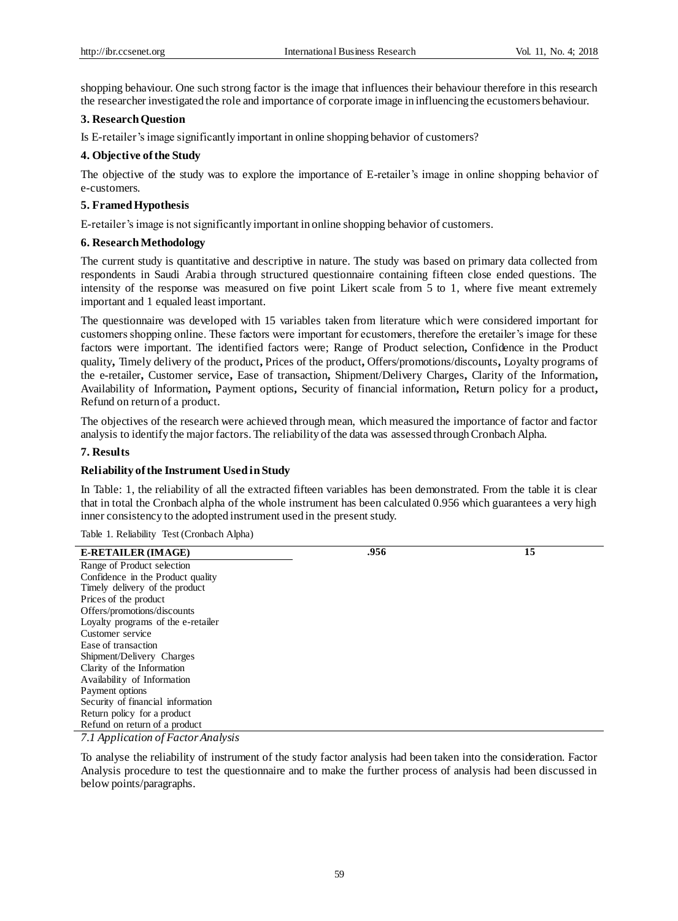shopping behaviour. One such strong factor is the image that influences their behaviour therefore in this research the researcher investigated the role and importance of corporate image in influencing the ecustomers behaviour.

## **3. Research Question**

Is E-retailer's image significantly important in online shopping behavior of customers?

## **4. Objective of the Study**

The objective of the study was to explore the importance of E-retailer's image in online shopping behavior of e-customers.

## **5. Framed Hypothesis**

E-retailer's image is not significantly important in online shopping behavior of customers.

#### **6. Research Methodology**

The current study is quantitative and descriptive in nature. The study was based on primary data collected from respondents in Saudi Arabia through structured questionnaire containing fifteen close ended questions. The intensity of the response was measured on five point Likert scale from 5 to 1, where five meant extremely important and 1 equaled least important.

The questionnaire was developed with 15 variables taken from literature which were considered important for customers shopping online. These factors were important for ecustomers, therefore the eretailer's image for these factors were important. The identified factors were; Range of Product selection**,** Confidence in the Product quality**,** Timely delivery of the product**,** Prices of the product**,** Offers/promotions/discounts**,** Loyalty programs of the e-retailer**,** Customer service**,** Ease of transaction**,** Shipment/Delivery Charges**,** Clarity of the Information**,**  Availability of Information**,** Payment options**,** Security of financial information**,** Return policy for a product**,**  Refund on return of a product.

The objectives of the research were achieved through mean, which measured the importance of factor and factor analysis to identify the major factors. The reliability of the data was assessed through Cronbach Alpha.

## **7. Results**

## **Reliability of the Instrument Used in Study**

In Table: 1, the reliability of all the extracted fifteen variables has been demonstrated. From the table it is clear that in total the Cronbach alpha of the whole instrument has been calculated 0.956 which guarantees a very high inner consistency to the adopted instrument used in the present study.

Table 1. Reliability Test (Cronbach Alpha)

| <b>E-RETAILER (IMAGE)</b>          | .956 | 15 |
|------------------------------------|------|----|
| Range of Product selection         |      |    |
| Confidence in the Product quality  |      |    |
| Timely delivery of the product     |      |    |
| Prices of the product              |      |    |
| Offers/promotions/discounts        |      |    |
| Loyalty programs of the e-retailer |      |    |
| Customer service                   |      |    |
| Ease of transaction                |      |    |
| Shipment/Delivery Charges          |      |    |
| Clarity of the Information         |      |    |
| Availability of Information        |      |    |
| Payment options                    |      |    |
| Security of financial information  |      |    |
| Return policy for a product        |      |    |
| Refund on return of a product      |      |    |
| $711$ $11$ $11$                    |      |    |

*7.1 Application of Factor Analysis* 

To analyse the reliability of instrument of the study factor analysis had been taken into the consideration. Factor Analysis procedure to test the questionnaire and to make the further process of analysis had been discussed in below points/paragraphs.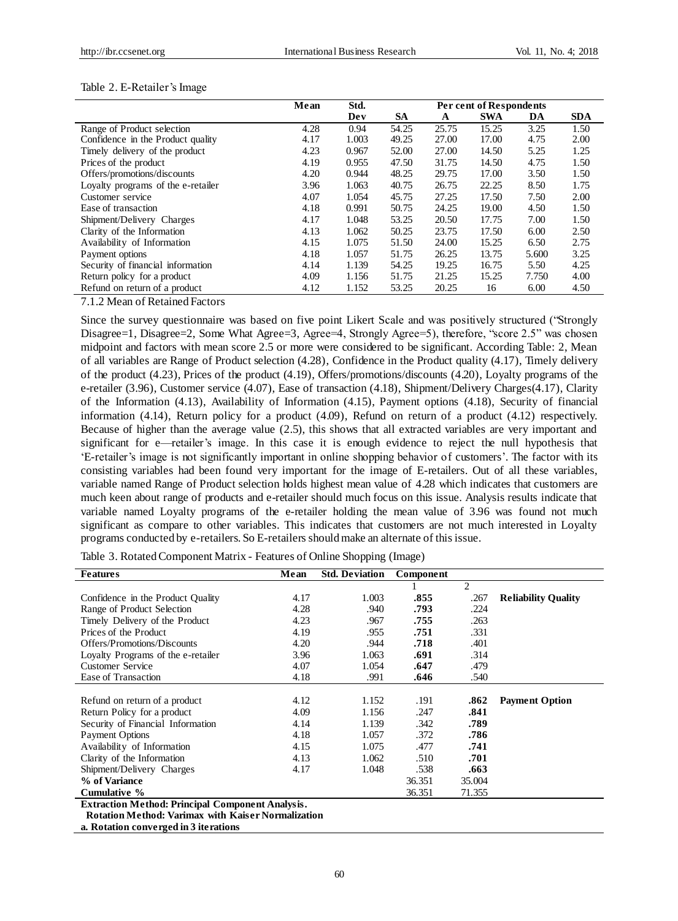|  |  |  |  |  |  |  | Table 2. E-Retailer's Image |
|--|--|--|--|--|--|--|-----------------------------|
|--|--|--|--|--|--|--|-----------------------------|

|                                                                           | Mean | Std.  | Per cent of Respondents |       |            |       |            |
|---------------------------------------------------------------------------|------|-------|-------------------------|-------|------------|-------|------------|
|                                                                           |      | Dev   | SА                      | A     | <b>SWA</b> | DA    | <b>SDA</b> |
| Range of Product selection                                                | 4.28 | 0.94  | 54.25                   | 25.75 | 15.25      | 3.25  | 1.50       |
| Confidence in the Product quality                                         | 4.17 | 1.003 | 49.25                   | 27.00 | 17.00      | 4.75  | 2.00       |
| Timely delivery of the product                                            | 4.23 | 0.967 | 52.00                   | 27.00 | 14.50      | 5.25  | 1.25       |
| Prices of the product                                                     | 4.19 | 0.955 | 47.50                   | 31.75 | 14.50      | 4.75  | 1.50       |
| Offers/promotions/discounts                                               | 4.20 | 0.944 | 48.25                   | 29.75 | 17.00      | 3.50  | 1.50       |
| Loyalty programs of the e-retailer                                        | 3.96 | 1.063 | 40.75                   | 26.75 | 22.25      | 8.50  | 1.75       |
| Customer service                                                          | 4.07 | 1.054 | 45.75                   | 27.25 | 17.50      | 7.50  | 2.00       |
| Ease of transaction                                                       | 4.18 | 0.991 | 50.75                   | 24.25 | 19.00      | 4.50  | 1.50       |
| Shipment/Delivery Charges                                                 | 4.17 | 1.048 | 53.25                   | 20.50 | 17.75      | 7.00  | 1.50       |
| Clarity of the Information                                                | 4.13 | 1.062 | 50.25                   | 23.75 | 17.50      | 6.00  | 2.50       |
| Availability of Information                                               | 4.15 | 1.075 | 51.50                   | 24.00 | 15.25      | 6.50  | 2.75       |
| Payment options                                                           | 4.18 | 1.057 | 51.75                   | 26.25 | 13.75      | 5.600 | 3.25       |
| Security of financial information                                         | 4.14 | 1.139 | 54.25                   | 19.25 | 16.75      | 5.50  | 4.25       |
| Return policy for a product                                               | 4.09 | 1.156 | 51.75                   | 21.25 | 15.25      | 7.750 | 4.00       |
| Refund on return of a product<br>$\sim$ $\sim$ $\sim$ $\sim$<br>- - - - - | 4.12 | 1.152 | 53.25                   | 20.25 | 16         | 6.00  | 4.50       |

7.1.2 Mean of Retained Factors

Since the survey questionnaire was based on five point Likert Scale and was positively structured ("Strongly Disagree=1, Disagree=2, Some What Agree=3, Agree=4, Strongly Agree=5), therefore, "score 2.5" was chosen midpoint and factors with mean score 2.5 or more were considered to be significant. According Table: 2, Mean of all variables are Range of Product selection (4.28), Confidence in the Product quality (4.17), Timely delivery of the product (4.23), Prices of the product (4.19), Offers/promotions/discounts (4.20), Loyalty programs of the e-retailer (3.96), Customer service (4.07), Ease of transaction (4.18), Shipment/Delivery Charges(4.17), Clarity of the Information (4.13), Availability of Information (4.15), Payment options (4.18), Security of financial information (4.14), Return policy for a product (4.09), Refund on return of a product (4.12) respectively. Because of higher than the average value (2.5), this shows that all extracted variables are very important and significant for e—retailer's image. In this case it is enough evidence to reject the null hypothesis that 'E-retailer's image is not significantly important in online shopping behavior of customers'. The factor with its consisting variables had been found very important for the image of E-retailers. Out of all these variables, variable named Range of Product selection holds highest mean value of 4.28 which indicates that customers are much keen about range of products and e-retailer should much focus on this issue. Analysis results indicate that variable named Loyalty programs of the e-retailer holding the mean value of 3.96 was found not much significant as compare to other variables. This indicates that customers are not much interested in Loyalty programs conducted by e-retailers. So E-retailers shouldmake an alternate of this issue.

| <b>Features</b>                                           | Mean | <b>Std. Deviation</b> | Component |                |                            |  |  |  |
|-----------------------------------------------------------|------|-----------------------|-----------|----------------|----------------------------|--|--|--|
|                                                           |      |                       |           | $\overline{2}$ |                            |  |  |  |
| Confidence in the Product Quality                         | 4.17 | 1.003                 | .855      | .267           | <b>Reliability Quality</b> |  |  |  |
| Range of Product Selection                                | 4.28 | .940                  | .793      | .224           |                            |  |  |  |
| Timely Delivery of the Product                            | 4.23 | .967                  | .755      | .263           |                            |  |  |  |
| Prices of the Product                                     | 4.19 | .955                  | .751      | .331           |                            |  |  |  |
| Offers/Promotions/Discounts                               | 4.20 | .944                  | .718      | .401           |                            |  |  |  |
| Loyalty Programs of the e-retailer                        | 3.96 | 1.063                 | .691      | .314           |                            |  |  |  |
| <b>Customer Service</b>                                   | 4.07 | 1.054                 | .647      | .479           |                            |  |  |  |
| Ease of Transaction                                       | 4.18 | .991                  | .646      | .540           |                            |  |  |  |
|                                                           |      |                       |           |                |                            |  |  |  |
| Refund on return of a product                             | 4.12 | 1.152                 | .191      | .862           | <b>Payment Option</b>      |  |  |  |
| Return Policy for a product                               | 4.09 | 1.156                 | .247      | .841           |                            |  |  |  |
| Security of Financial Information                         | 4.14 | 1.139                 | .342      | .789           |                            |  |  |  |
| Payment Options                                           | 4.18 | 1.057                 | .372      | .786           |                            |  |  |  |
| Availability of Information                               | 4.15 | 1.075                 | .477      | .741           |                            |  |  |  |
| Clarity of the Information                                | 4.13 | 1.062                 | .510      | .701           |                            |  |  |  |
| Shipment/Delivery Charges                                 | 4.17 | 1.048                 | .538      | .663           |                            |  |  |  |
| % of Variance                                             |      |                       | 36.351    | 35.004         |                            |  |  |  |
| Cumulative %                                              |      |                       | 36.351    | 71.355         |                            |  |  |  |
| <b>Extraction Method: Principal Component Analysis.</b>   |      |                       |           |                |                            |  |  |  |
| <b>Rotation Method: Varimax with Kaiser Normalization</b> |      |                       |           |                |                            |  |  |  |
|                                                           |      |                       |           |                |                            |  |  |  |

Table 3. Rotated Component Matrix - Features of Online Shopping (Image)

**a. Rotation converged in 3 iterations**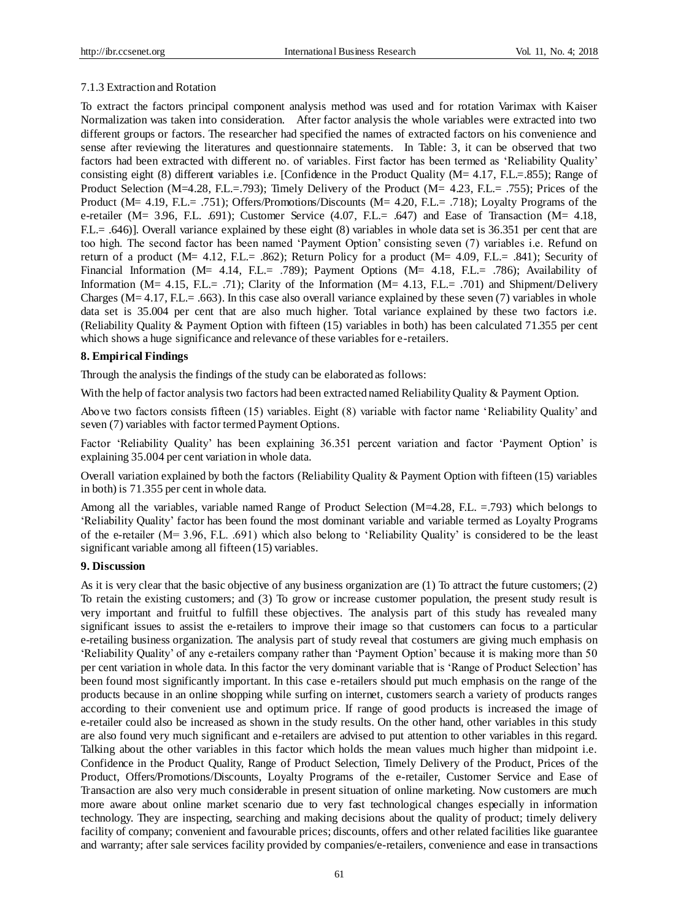#### 7.1.3 Extraction and Rotation

To extract the factors principal component analysis method was used and for rotation Varimax with Kaiser Normalization was taken into consideration. After factor analysis the whole variables were extracted into two different groups or factors. The researcher had specified the names of extracted factors on his convenience and sense after reviewing the literatures and questionnaire statements. In Table: 3, it can be observed that two factors had been extracted with different no. of variables. First factor has been termed as 'Reliability Quality' consisting eight (8) different variables i.e. [Confidence in the Product Quality ( $M = 4.17$ , F.L.=.855); Range of Product Selection (M=4.28, F.L.=.793); Timely Delivery of the Product (M= 4.23, F.L.= .755); Prices of the Product (M= 4.19, F.L.= .751); Offers/Promotions/Discounts (M= 4.20, F.L.= .718); Loyalty Programs of the e-retailer (M= 3.96, F.L. .691); Customer Service (4.07, F.L.= .647) and Ease of Transaction (M= 4.18, F.L.= .646)]. Overall variance explained by these eight (8) variables in whole data set is 36.351 per cent that are too high. The second factor has been named 'Payment Option' consisting seven (7) variables i.e. Refund on return of a product ( $M = 4.12$ , F.L.= .862); Return Policy for a product ( $M = 4.09$ , F.L.= .841); Security of Financial Information (M= 4.14, F.L.= .789); Payment Options (M= 4.18, F.L.= .786); Availability of Information ( $M = 4.15$ , F.L. $= .71$ ); Clarity of the Information ( $M = 4.13$ , F.L. $= .701$ ) and Shipment/Delivery Charges ( $M=4.17$ , F.L. $= .663$ ). In this case also overall variance explained by these seven (7) variables in whole data set is 35.004 per cent that are also much higher. Total variance explained by these two factors i.e. (Reliability Quality & Payment Option with fifteen (15) variables in both) has been calculated 71.355 per cent which shows a huge significance and relevance of these variables for e-retailers.

#### **8. Empirical Findings**

Through the analysis the findings of the study can be elaborated as follows:

With the help of factor analysis two factors had been extracted named Reliability Quality & Payment Option.

Above two factors consists fifteen (15) variables. Eight (8) variable with factor name 'Reliability Quality' and seven (7) variables with factor termed Payment Options.

Factor 'Reliability Quality' has been explaining 36.351 percent variation and factor 'Payment Option' is explaining 35.004 per cent variation in whole data.

Overall variation explained by both the factors (Reliability Quality & Payment Option with fifteen (15) variables in both) is 71.355 per cent in whole data.

Among all the variables, variable named Range of Product Selection (M=4.28, F.L. =.793) which belongs to 'Reliability Quality' factor has been found the most dominant variable and variable termed as Loyalty Programs of the e-retailer (M= 3.96, F.L. .691) which also belong to 'Reliability Quality' is considered to be the least significant variable among all fifteen (15) variables.

#### **9. Discussion**

As it is very clear that the basic objective of any business organization are (1) To attract the future customers; (2) To retain the existing customers; and (3) To grow or increase customer population, the present study result is very important and fruitful to fulfill these objectives. The analysis part of this study has revealed many significant issues to assist the e-retailers to improve their image so that customers can focus to a particular e-retailing business organization. The analysis part of study reveal that costumers are giving much emphasis on 'Reliability Quality' of any e-retailers company rather than 'Payment Option' because it is making more than 50 per cent variation in whole data. In this factor the very dominant variable that is 'Range of Product Selection' has been found most significantly important. In this case e-retailers should put much emphasis on the range of the products because in an online shopping while surfing on internet, customers search a variety of products ranges according to their convenient use and optimum price. If range of good products is increased the image of e-retailer could also be increased as shown in the study results. On the other hand, other variables in this study are also found very much significant and e-retailers are advised to put attention to other variables in this regard. Talking about the other variables in this factor which holds the mean values much higher than midpoint i.e. Confidence in the Product Quality, Range of Product Selection, Timely Delivery of the Product, Prices of the Product, Offers/Promotions/Discounts, Loyalty Programs of the e-retailer, Customer Service and Ease of Transaction are also very much considerable in present situation of online marketing. Now customers are much more aware about online market scenario due to very fast technological changes especially in information technology. They are inspecting, searching and making decisions about the quality of product; timely delivery facility of company; convenient and favourable prices; discounts, offers and other related facilities like guarantee and warranty; after sale services facility provided by companies/e-retailers, convenience and ease in transactions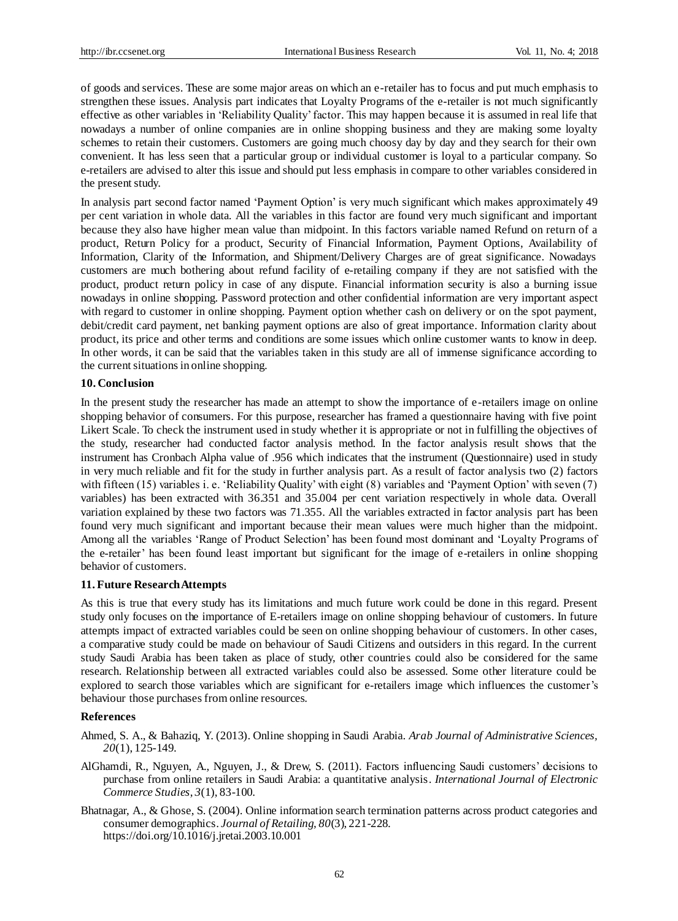of goods and services. These are some major areas on which an e-retailer has to focus and put much emphasis to strengthen these issues. Analysis part indicates that Loyalty Programs of the e-retailer is not much significantly effective as other variables in 'Reliability Quality' factor. This may happen because it is assumed in real life that nowadays a number of online companies are in online shopping business and they are making some loyalty schemes to retain their customers. Customers are going much choosy day by day and they search for their own convenient. It has less seen that a particular group or individual customer is loyal to a particular company. So e-retailers are advised to alter this issue and should put less emphasis in compare to other variables considered in the present study.

In analysis part second factor named 'Payment Option' is very much significant which makes approximately 49 per cent variation in whole data. All the variables in this factor are found very much significant and important because they also have higher mean value than midpoint. In this factors variable named Refund on return of a product, Return Policy for a product, Security of Financial Information, Payment Options, Availability of Information, Clarity of the Information, and Shipment/Delivery Charges are of great significance. Nowadays customers are much bothering about refund facility of e-retailing company if they are not satisfied with the product, product return policy in case of any dispute. Financial information security is also a burning issue nowadays in online shopping. Password protection and other confidential information are very important aspect with regard to customer in online shopping. Payment option whether cash on delivery or on the spot payment, debit/credit card payment, net banking payment options are also of great importance. Information clarity about product, its price and other terms and conditions are some issues which online customer wants to know in deep. In other words, it can be said that the variables taken in this study are all of immense significance according to the current situations in online shopping.

#### **10. Conclusion**

In the present study the researcher has made an attempt to show the importance of e-retailers image on online shopping behavior of consumers. For this purpose, researcher has framed a questionnaire having with five point Likert Scale. To check the instrument used in study whether it is appropriate or not in fulfilling the objectives of the study, researcher had conducted factor analysis method. In the factor analysis result shows that the instrument has Cronbach Alpha value of .956 which indicates that the instrument (Questionnaire) used in study in very much reliable and fit for the study in further analysis part. As a result of factor analysis two (2) factors with fifteen (15) variables i. e. 'Reliability Quality' with eight (8) variables and 'Payment Option' with seven (7) variables) has been extracted with 36.351 and 35.004 per cent variation respectively in whole data. Overall variation explained by these two factors was 71.355. All the variables extracted in factor analysis part has been found very much significant and important because their mean values were much higher than the midpoint. Among all the variables 'Range of Product Selection' has been found most dominant and 'Loyalty Programs of the e-retailer' has been found least important but significant for the image of e-retailers in online shopping behavior of customers.

#### **11. Future Research Attempts**

As this is true that every study has its limitations and much future work could be done in this regard. Present study only focuses on the importance of E-retailers image on online shopping behaviour of customers. In future attempts impact of extracted variables could be seen on online shopping behaviour of customers. In other cases, a comparative study could be made on behaviour of Saudi Citizens and outsiders in this regard. In the current study Saudi Arabia has been taken as place of study, other countries could also be considered for the same research. Relationship between all extracted variables could also be assessed. Some other literature could be explored to search those variables which are significant for e-retailers image which influences the customer's behaviour those purchases from online resources.

#### **References**

Ahmed, S. A., & Bahaziq, Y. (2013). Online shopping in Saudi Arabia. *Arab Journal of Administrative Sciences, 20*(1), 125-149.

- AlGhamdi, R., Nguyen, A., Nguyen, J., & Drew, S. (2011). Factors influencing Saudi customers' decisions to purchase from online retailers in Saudi Arabia: a quantitative analysis. *International Journal of Electronic Commerce Studies*, *3*(1), 83-100.
- Bhatnagar, A., & Ghose, S. (2004). Online information search termination patterns across product categories and consumer demographics. *Journal of Retailing, 80*(3), 221-228. https://doi.org/10.1016/j.jretai.2003.10.001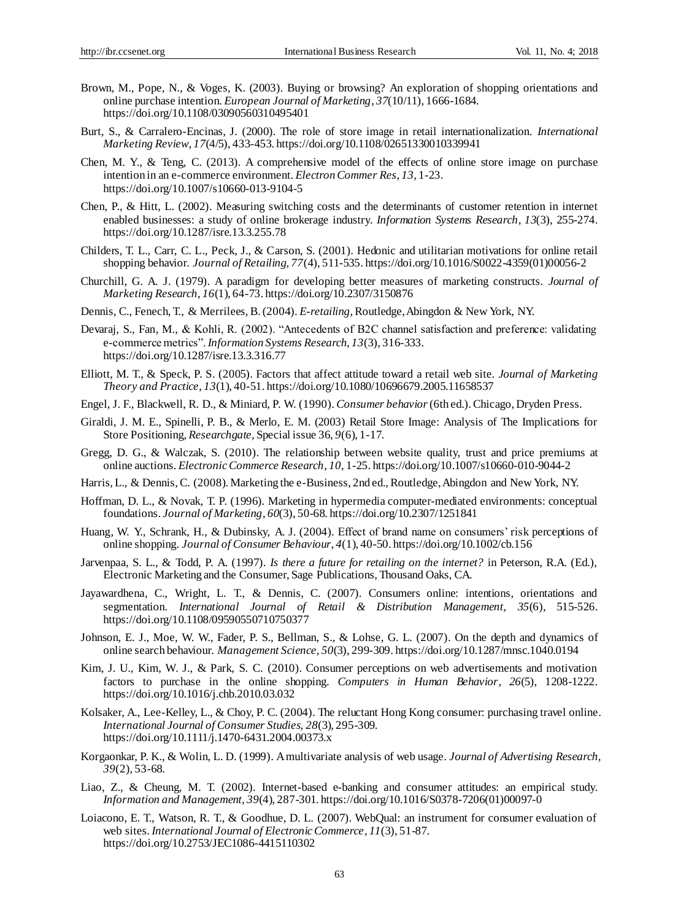- Brown, M., Pope, N., & Voges, K. (2003). Buying or browsing? An exploration of shopping orientations and online purchase intention. *European Journal of Marketing*, *37*(10/11), 1666-1684. https://doi.org/10.1108/03090560310495401
- Burt, S., & Carralero-Encinas, J. (2000). The role of store image in retail internationalization. *International Marketing Review*, *17*(4/5), 433-453. https://doi.org/10.1108/02651330010339941
- Chen, M. Y., & Teng, C. (2013). A comprehensive model of the effects of online store image on purchase intention in an e-commerce environment. *Electron Commer Res*, *13,* 1-23. https://doi.org/10.1007/s10660-013-9104-5
- Chen, P., & Hitt, L. (2002). Measuring switching costs and the determinants of customer retention in internet enabled businesses: a study of online brokerage industry. *Information Systems Research*, *13*(3), 255-274. https://doi.org/10.1287/isre.13.3.255.78
- Childers, T. L., Carr, C. L., Peck, J., & Carson, S. (2001). Hedonic and utilitarian motivations for online retail shopping behavior. *Journal of Retailing, 77*(4), 511-535. https://doi.org/10.1016/S0022-4359(01)00056-2
- Churchill, G. A. J. (1979). A paradigm for developing better measures of marketing constructs. *Journal of Marketing Research*, *16*(1), 64-73. https://doi.org/10.2307/3150876
- Dennis, C., Fenech, T., & Merrilees, B. (2004). *E-retailing*, Routledge, Abingdon & New York, NY.
- Devaraj, S., Fan, M., & Kohli, R. (2002). "Antecedents of B2C channel satisfaction and preference: validating e-commerce metrics". *Information Systems Research*, *13*(3), 316-333. https://doi.org/10.1287/isre.13.3.316.77
- Elliott, M. T., & Speck, P. S. (2005). Factors that affect attitude toward a retail web site. *Journal of Marketing Theory and Practice*, *13*(1), 40-51. https://doi.org/10.1080/10696679.2005.11658537
- Engel, J. F., Blackwell, R. D., & Miniard, P. W. (1990). *Consumer behavior* (6th ed.). Chicago, Dryden Press.
- Giraldi, J. M. E., Spinelli, P. B., & Merlo, E. M. (2003) Retail Store Image: Analysis of The Implications for Store Positioning, *Researchgate,* Special issue 36, *9*(6), 1-17.
- Gregg, D. G., & Walczak, S. (2010). The relationship between website quality, trust and price premiums at online auctions. *Electronic Commerce Research*, *10*, 1-25. https://doi.org/10.1007/s10660-010-9044-2
- Harris, L., & Dennis, C. (2008). Marketing the e-Business, 2nd ed., Routledge, Abingdon and New York, NY.
- Hoffman, D. L., & Novak, T. P. (1996). Marketing in hypermedia computer-mediated environments: conceptual foundations. *Journal of Marketing*, *60*(3), 50-68. https://doi.org/10.2307/1251841
- Huang, W. Y., Schrank, H., & Dubinsky, A. J. (2004). Effect of brand name on consumers' risk perceptions of online shopping. *Journal of Consumer Behaviour*, *4*(1), 40-50. https://doi.org/10.1002/cb.156
- Jarvenpaa, S. L., & Todd, P. A. (1997). *Is there a future for retailing on the internet?* in Peterson, R.A. (Ed.), Electronic Marketing and the Consumer, Sage Publications, Thousand Oaks, CA.
- Jayawardhena, C., Wright, L. T., & Dennis, C. (2007). Consumers online: intentions, orientations and segmentation. *International Journal of Retail & Distribution Management, 35*(6), 515-526. https://doi.org/10.1108/09590550710750377
- Johnson, E. J., Moe, W. W., Fader, P. S., Bellman, S., & Lohse, G. L. (2007). On the depth and dynamics of online search behaviour. *Management Science, 50*(3), 299-309. https://doi.org/10.1287/mnsc.1040.0194
- Kim, J. U., Kim, W. J., & Park, S. C. (2010). Consumer perceptions on web advertisements and motivation factors to purchase in the online shopping. *Computers in Human Behavior*, *26*(5), 1208-1222. https://doi.org/10.1016/j.chb.2010.03.032
- Kolsaker, A., Lee-Kelley, L., & Choy, P. C. (2004). The reluctant Hong Kong consumer: purchasing travel online. *International Journal of Consumer Studies, 28*(3), 295-309. https://doi.org/10.1111/j.1470-6431.2004.00373.x
- Korgaonkar, P. K., & Wolin, L. D. (1999). A multivariate analysis of web usage. *Journal of Advertising Research, 39*(2), 53-68.
- Liao, Z., & Cheung, M. T. (2002). Internet-based e-banking and consumer attitudes: an empirical study. *Information and Management, 39*(4), 287-301. https://doi.org/10.1016/S0378-7206(01)00097-0
- Loiacono, E. T., Watson, R. T., & Goodhue, D. L. (2007). WebQual: an instrument for consumer evaluation of web sites. *International Journal of Electronic Commerce*, *11*(3), 51-87. https://doi.org/10.2753/JEC1086-4415110302